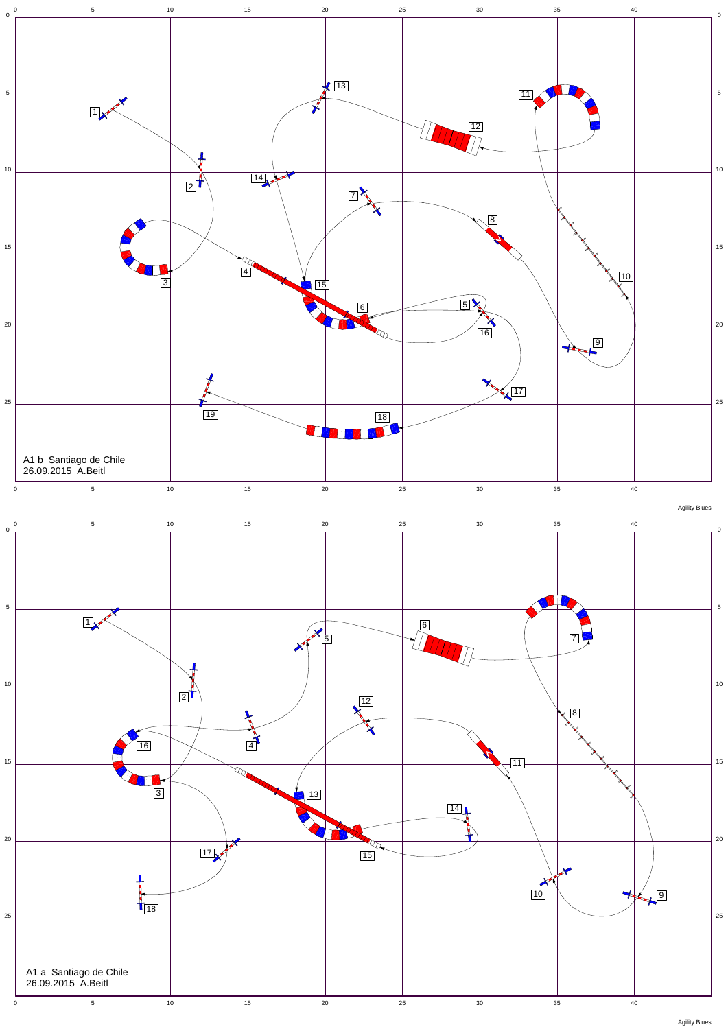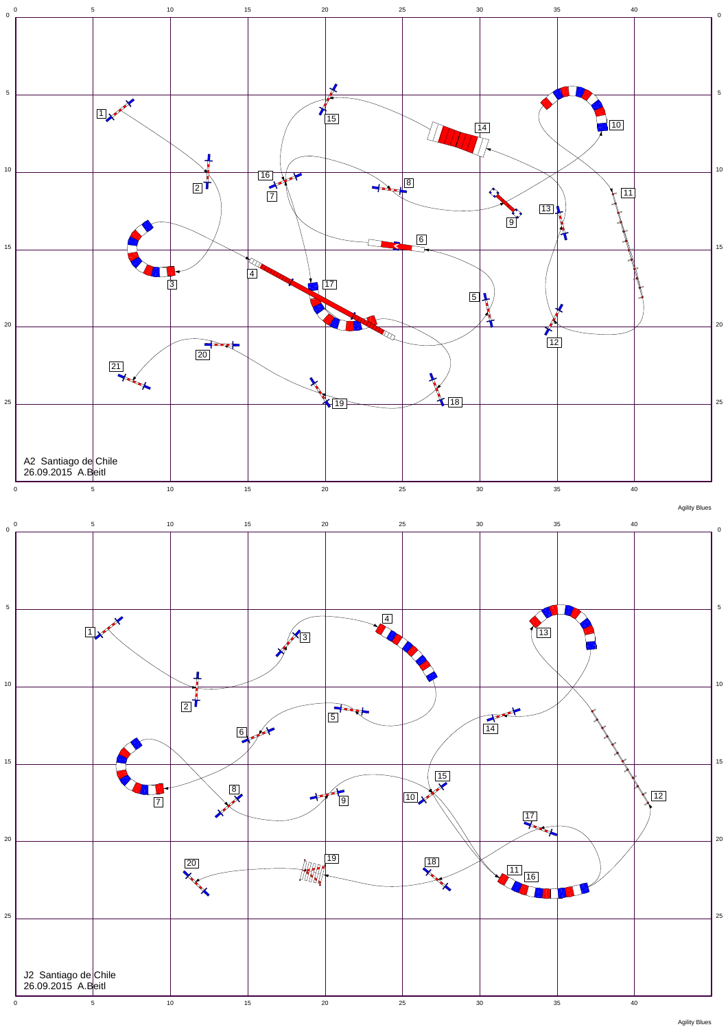

Agility Blues